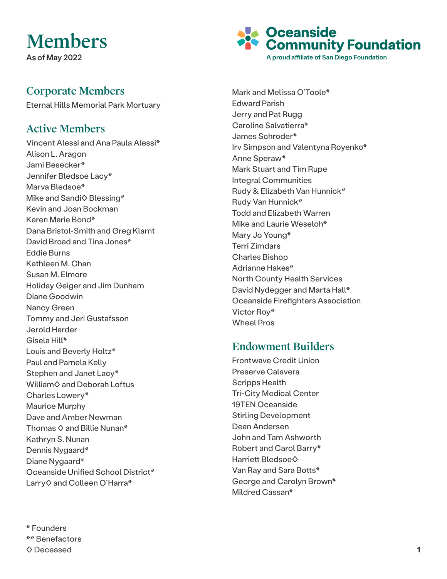## Members

As of May 2022

## Corporate Members

Eternal Hills Memorial Park Mortuary

## Active Members

Vincent Alessi and Ana Paula Alessi\* Alison L. Aragon Jami Besecker\* Jennifer Bledsoe Lacy\* Marva Bledsoe\* Mike and Sandi◇ Blessing\* Kevin and Joan Bockman Karen Marie Bond\* Dana Bristol-Smith and Greg Klamt David Broad and Tina Jones\* Eddie Burns Kathleen M. Chan Susan M. Elmore Holiday Geiger and Jim Dunham Diane Goodwin Nancy Green Tommy and Jeri Gustafsson Jerold Harder Gisela Hill\* Louis and Beverly Holtz\* Paul and Pamela Kelly Stephen and Janet Lacy\* William♦ and Deborah Loftus Charles Lowery\* Maurice Murphy Dave and Amber Newman Thomas  $\diamond$  and Billie Nunan\* Kathryn S. Nunan Dennis Nygaard\* Diane Nygaard\* Oceanside Unified School District\* Larry♦ and Colleen O'Harra\*

A proud affiliate of San Diego Foundation Mark and Melissa O'Toole\* Edward Parish Jerry and Pat Rugg Caroline Salvatierra\* James Schroder\* Irv Simpson and Valentyna Royenko\* Anne Speraw\* Mark Stuart and Tim Rupe Integral Communities Rudy & Elizabeth Van Hunnick\* Rudy Van Hunnick\* Todd and Elizabeth Warren Mike and Laurie Weseloh\* Mary Jo Young\* Terri Zimdars Charles Bishop Adrianne Hakes\*

**Oceanside<br>Community Foundation** 

North County Health Services David Nydegger and Marta Hall\* Oceanside Firefighters Association Victor Roy\* Wheel Pros

## Endowment Builders

Frontwave Credit Union Preserve Calavera Scripps Health Tri-City Medical Center 19TEN Oceanside Stirling Development Dean Andersen John and Tam Ashworth Robert and Carol Barry\* Harriett Bledsoe◊ Van Ray and Sara Botts\* George and Carolyn Brown\* Mildred Cassan\*

\* Founders \*\* Benefactors ◊ Deceased